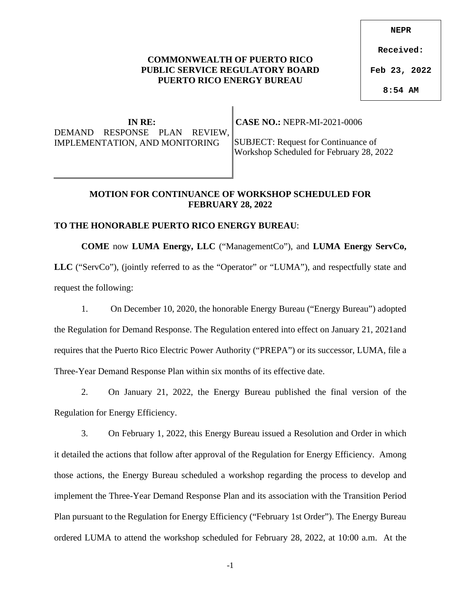## **COMMONWEALTH OF PUERTO RICO PUBLIC SERVICE REGULATORY BOARD PUERTO RICO ENERGY BUREAU**

**IN RE:** DEMAND RESPONSE PLAN REVIEW, IMPLEMENTATION, AND MONITORING

 **CASE NO.:** NEPR-MI-2021-0006

SUBJECT: Request for Continuance of Workshop Scheduled for February 28, 2022

## **MOTION FOR CONTINUANCE OF WORKSHOP SCHEDULED FOR FEBRUARY 28, 2022**

## **TO THE HONORABLE PUERTO RICO ENERGY BUREAU**:

LLC ("ServCo"), (jointly referred to as the "Operator" or "LUMA"), and respectfully state and request the following:

**COME** now **LUMA Energy, LLC** ("ManagementCo"), and **LUMA Energy ServCo,** 

1. On December 10, 2020, the honorable Energy Bureau ("Energy Bureau") adopted the Regulation for Demand Response. The Regulation entered into effect on January 21, 2021and requires that the Puerto Rico Electric Power Authority ("PREPA") or its successor, LUMA, file a Three-Year Demand Response Plan within six months of its effective date.

2. On January 21, 2022, the Energy Bureau published the final version of the Regulation for Energy Efficiency.

3. On February 1, 2022, this Energy Bureau issued a Resolution and Order in which it detailed the actions that follow after approval of the Regulation for Energy Efficiency. Among those actions, the Energy Bureau scheduled a workshop regarding the process to develop and implement the Three-Year Demand Response Plan and its association with the Transition Period Plan pursuant to the Regulation for Energy Efficiency ("February 1st Order"). The Energy Bureau ordered LUMA to attend the workshop scheduled for February 28, 2022, at 10:00 a.m. At the

-1

**NEPR**

**Received:**

**Feb 23, 2022**

**8:54 AM**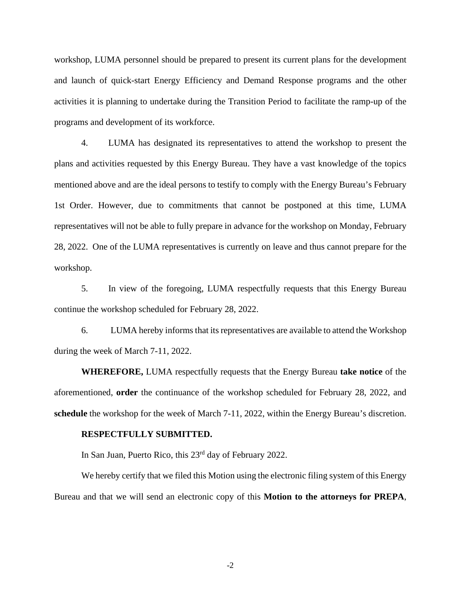workshop, LUMA personnel should be prepared to present its current plans for the development and launch of quick-start Energy Efficiency and Demand Response programs and the other activities it is planning to undertake during the Transition Period to facilitate the ramp-up of the programs and development of its workforce.

4. LUMA has designated its representatives to attend the workshop to present the plans and activities requested by this Energy Bureau. They have a vast knowledge of the topics mentioned above and are the ideal persons to testify to comply with the Energy Bureau's February 1st Order. However, due to commitments that cannot be postponed at this time, LUMA representatives will not be able to fully prepare in advance for the workshop on Monday, February 28, 2022. One of the LUMA representatives is currently on leave and thus cannot prepare for the workshop.

5. In view of the foregoing, LUMA respectfully requests that this Energy Bureau continue the workshop scheduled for February 28, 2022.

6. LUMA hereby informs that its representatives are available to attend the Workshop during the week of March 7-11, 2022.

**WHEREFORE,** LUMA respectfully requests that the Energy Bureau **take notice** of the aforementioned, **order** the continuance of the workshop scheduled for February 28, 2022, and **schedule** the workshop for the week of March 7-11, 2022, within the Energy Bureau's discretion.

## **RESPECTFULLY SUBMITTED.**

In San Juan, Puerto Rico, this 23rd day of February 2022.

We hereby certify that we filed this Motion using the electronic filing system of this Energy Bureau and that we will send an electronic copy of this **Motion to the attorneys for PREPA**,

-2